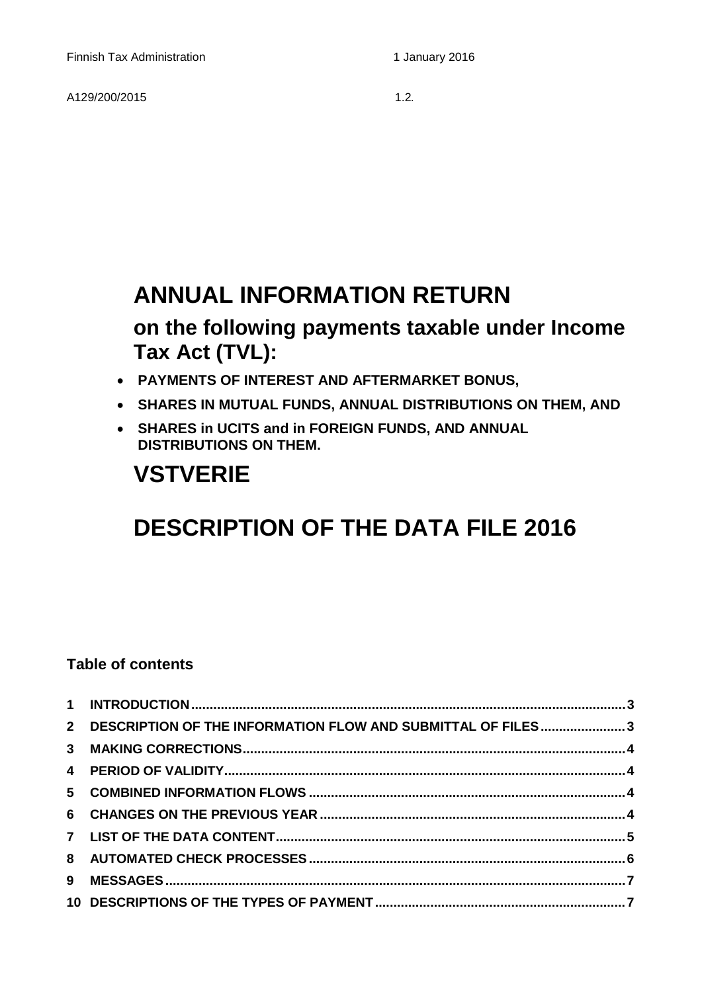A129/200/20151.2*.* 

## **ANNUAL INFORMATION RETURN**

## **on the following payments taxable under Income Tax Act (TVL):**

- **PAYMENTS OF INTEREST AND AFTERMARKET BONUS,**
- **SHARES IN MUTUAL FUNDS, ANNUAL DISTRIBUTIONS ON THEM, AND**
- **SHARES in UCITS and in FOREIGN FUNDS, AND ANNUAL DISTRIBUTIONS ON THEM.**

# **VSTVERIE**

# **DESCRIPTION OF THE DATA FILE 2016**

## **Table of contents**

| 2 DESCRIPTION OF THE INFORMATION FLOW AND SUBMITTAL OF FILES3 |  |
|---------------------------------------------------------------|--|
|                                                               |  |
|                                                               |  |
|                                                               |  |
|                                                               |  |
|                                                               |  |
|                                                               |  |
|                                                               |  |
|                                                               |  |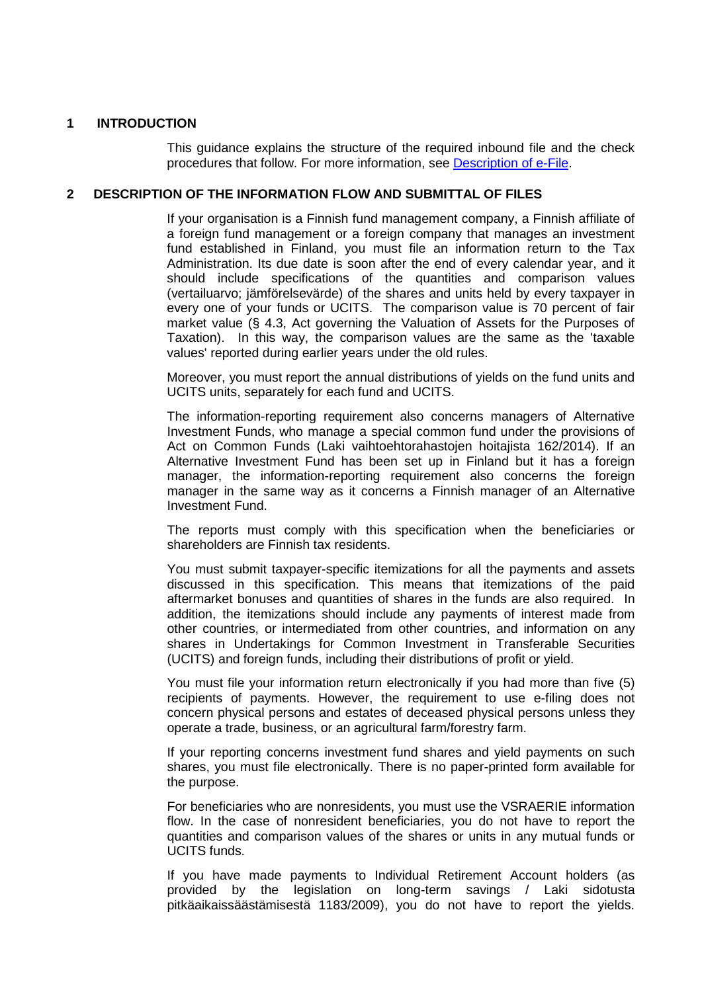### <span id="page-2-0"></span>**1 INTRODUCTION**

This guidance explains the structure of the required inbound file and the check procedures that follow. For more information, see [Description of e-File.](http://www.vero.fi/download/Sahkoisen_ilmoittamisen_yleiskuvaus_ENGL20/%7B956D482C-4A28-48D2-BE25-00112D97AE00%7D/12064)

### <span id="page-2-1"></span>**2 DESCRIPTION OF THE INFORMATION FLOW AND SUBMITTAL OF FILES**

If your organisation is a Finnish fund management company, a Finnish affiliate of a foreign fund management or a foreign company that manages an investment fund established in Finland, you must file an information return to the Tax Administration. Its due date is soon after the end of every calendar year, and it should include specifications of the quantities and comparison values (vertailuarvo; jämförelsevärde) of the shares and units held by every taxpayer in every one of your funds or UCITS. The comparison value is 70 percent of fair market value (§ 4.3, Act governing the Valuation of Assets for the Purposes of Taxation). In this way, the comparison values are the same as the 'taxable values' reported during earlier years under the old rules.

Moreover, you must report the annual distributions of yields on the fund units and UCITS units, separately for each fund and UCITS.

The information-reporting requirement also concerns managers of Alternative Investment Funds, who manage a special common fund under the provisions of Act on Common Funds (Laki vaihtoehtorahastojen hoitajista 162/2014). If an Alternative Investment Fund has been set up in Finland but it has a foreign manager, the information-reporting requirement also concerns the foreign manager in the same way as it concerns a Finnish manager of an Alternative Investment Fund.

The reports must comply with this specification when the beneficiaries or shareholders are Finnish tax residents.

You must submit taxpayer-specific itemizations for all the payments and assets discussed in this specification. This means that itemizations of the paid aftermarket bonuses and quantities of shares in the funds are also required. In addition, the itemizations should include any payments of interest made from other countries, or intermediated from other countries, and information on any shares in Undertakings for Common Investment in Transferable Securities (UCITS) and foreign funds, including their distributions of profit or yield.

You must file your information return electronically if you had more than five (5) recipients of payments. However, the requirement to use e-filing does not concern physical persons and estates of deceased physical persons unless they operate a trade, business, or an agricultural farm/forestry farm.

If your reporting concerns investment fund shares and yield payments on such shares, you must file electronically. There is no paper-printed form available for the purpose.

For beneficiaries who are nonresidents, you must use the VSRAERIE information flow. In the case of nonresident beneficiaries, you do not have to report the quantities and comparison values of the shares or units in any mutual funds or UCITS funds.

If you have made payments to Individual Retirement Account holders (as provided by the legislation on long-term savings / Laki sidotusta pitkäaikaissäästämisestä 1183/2009), you do not have to report the yields.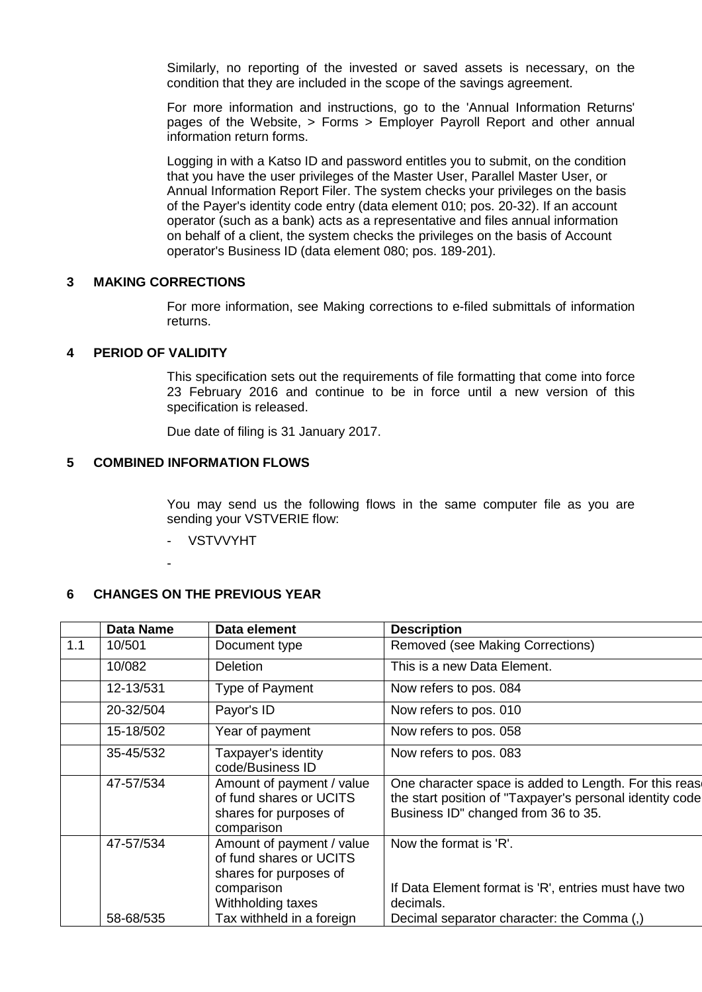Similarly, no reporting of the invested or saved assets is necessary, on the condition that they are included in the scope of the savings agreement.

For more information and instructions, go to the 'Annual Information Returns' pages of the Website, > Forms > Employer Payroll Report and other annual information return forms.

Logging in with a Katso ID and password entitles you to submit, on the condition that you have the user privileges of the Master User, Parallel Master User, or Annual Information Report Filer. The system checks your privileges on the basis of the Payer's identity code entry (data element 010; pos. 20-32). If an account operator (such as a bank) acts as a representative and files annual information on behalf of a client, the system checks the privileges on the basis of Account operator's Business ID (data element 080; pos. 189-201).

## <span id="page-3-0"></span>**3 MAKING CORRECTIONS**

For more information, see Making corrections to e-filed submittals of information returns.

## <span id="page-3-1"></span>**4 PERIOD OF VALIDITY**

This specification sets out the requirements of file formatting that come into force 23 February 2016 and continue to be in force until a new version of this specification is released.

Due date of filing is 31 January 2017.

### <span id="page-3-2"></span>**5 COMBINED INFORMATION FLOWS**

You may send us the following flows in the same computer file as you are sending your VSTVERIE flow:

- **VSTVVYHT**
- -

## <span id="page-3-3"></span>**6 CHANGES ON THE PREVIOUS YEAR**

|     | <b>Data Name</b> | Data element                                                                                 | <b>Description</b>                                                                                                                                        |
|-----|------------------|----------------------------------------------------------------------------------------------|-----------------------------------------------------------------------------------------------------------------------------------------------------------|
| 1.1 | 10/501           | Document type                                                                                | Removed (see Making Corrections)                                                                                                                          |
|     | 10/082           | <b>Deletion</b>                                                                              | This is a new Data Element.                                                                                                                               |
|     | 12-13/531        | Type of Payment                                                                              | Now refers to pos. 084                                                                                                                                    |
|     | 20-32/504        | Payor's ID                                                                                   | Now refers to pos. 010                                                                                                                                    |
|     | 15-18/502        | Year of payment                                                                              | Now refers to pos. 058                                                                                                                                    |
|     | 35-45/532        | Taxpayer's identity<br>code/Business ID                                                      | Now refers to pos. 083                                                                                                                                    |
|     | 47-57/534        | Amount of payment / value<br>of fund shares or UCITS<br>shares for purposes of<br>comparison | One character space is added to Length. For this rease<br>the start position of "Taxpayer's personal identity code<br>Business ID" changed from 36 to 35. |
|     | 47-57/534        | Amount of payment / value<br>of fund shares or UCITS<br>shares for purposes of               | Now the format is 'R'.                                                                                                                                    |
|     |                  | comparison<br>Withholding taxes                                                              | If Data Element format is 'R', entries must have two<br>decimals.                                                                                         |
|     | 58-68/535        | Tax withheld in a foreign                                                                    | Decimal separator character: the Comma (,)                                                                                                                |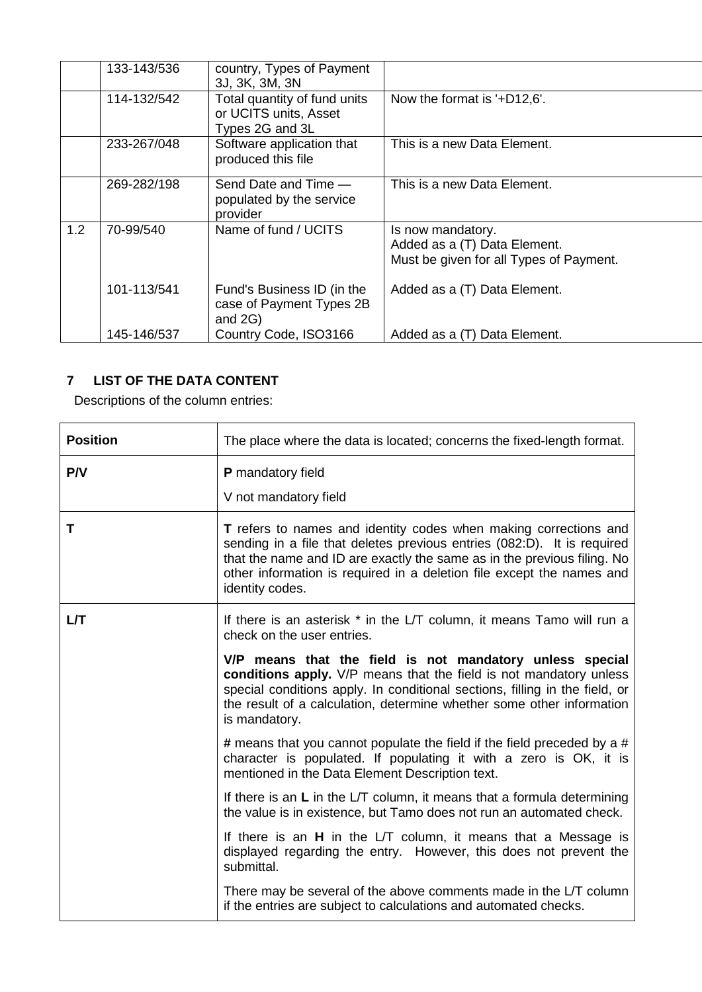|     | 133-143/536 | country, Types of Payment<br>3J, 3K, 3M, 3N                              |                                                                                              |
|-----|-------------|--------------------------------------------------------------------------|----------------------------------------------------------------------------------------------|
|     | 114-132/542 | Total quantity of fund units<br>or UCITS units, Asset<br>Types 2G and 3L | Now the format is '+D12,6'.                                                                  |
|     | 233-267/048 | Software application that<br>produced this file                          | This is a new Data Element.                                                                  |
|     | 269-282/198 | Send Date and Time -<br>populated by the service<br>provider             | This is a new Data Element.                                                                  |
| 1.2 | 70-99/540   | Name of fund / UCITS                                                     | Is now mandatory.<br>Added as a (T) Data Element.<br>Must be given for all Types of Payment. |
|     | 101-113/541 | Fund's Business ID (in the<br>case of Payment Types 2B<br>and $2G$ )     | Added as a (T) Data Element.                                                                 |
|     | 145-146/537 | Country Code, ISO3166                                                    | Added as a (T) Data Element.                                                                 |

## <span id="page-4-0"></span>**7 LIST OF THE DATA CONTENT**

Descriptions of the column entries:

| <b>Position</b> | The place where the data is located; concerns the fixed-length format.                                                                                                                                                                                                                                             |
|-----------------|--------------------------------------------------------------------------------------------------------------------------------------------------------------------------------------------------------------------------------------------------------------------------------------------------------------------|
| P/V             | P mandatory field<br>V not mandatory field                                                                                                                                                                                                                                                                         |
| Т               | T refers to names and identity codes when making corrections and<br>sending in a file that deletes previous entries (082:D). It is required<br>that the name and ID are exactly the same as in the previous filing. No<br>other information is required in a deletion file except the names and<br>identity codes. |
| LЛ              | If there is an asterisk * in the L/T column, it means Tamo will run a<br>check on the user entries.                                                                                                                                                                                                                |
|                 | V/P means that the field is not mandatory unless special<br>conditions apply. V/P means that the field is not mandatory unless<br>special conditions apply. In conditional sections, filling in the field, or<br>the result of a calculation, determine whether some other information<br>is mandatory.            |
|                 | # means that you cannot populate the field if the field preceded by a #<br>character is populated. If populating it with a zero is OK, it is<br>mentioned in the Data Element Description text.                                                                                                                    |
|                 | If there is an $L$ in the L/T column, it means that a formula determining<br>the value is in existence, but Tamo does not run an automated check.                                                                                                                                                                  |
|                 | If there is an H in the L/T column, it means that a Message is<br>displayed regarding the entry. However, this does not prevent the<br>submittal.                                                                                                                                                                  |
|                 | There may be several of the above comments made in the L/T column<br>if the entries are subject to calculations and automated checks.                                                                                                                                                                              |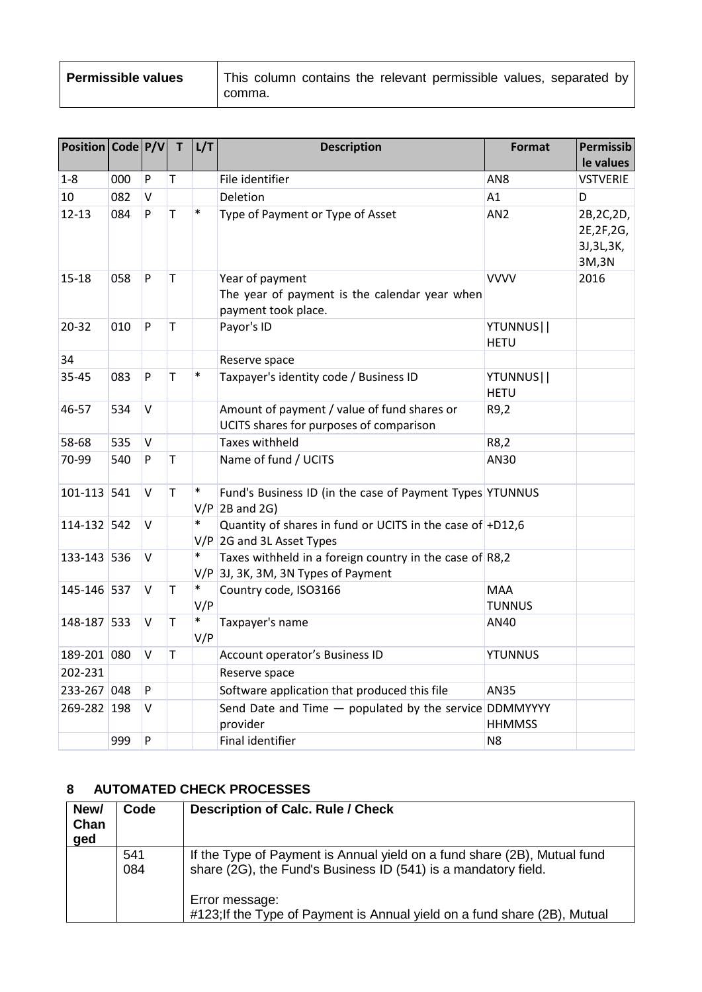| <b>Permissible values</b> | This column contains the relevant permissible values, separated by<br>comma. |
|---------------------------|------------------------------------------------------------------------------|

| Position   Code   P/V |     |              | T            | L/T           | <b>Description</b>                                                                               | <b>Format</b>               | <b>Permissib</b><br>le values                      |
|-----------------------|-----|--------------|--------------|---------------|--------------------------------------------------------------------------------------------------|-----------------------------|----------------------------------------------------|
| $1 - 8$               | 000 | $\mathsf{P}$ | Τ            |               | File identifier                                                                                  | AN <sub>8</sub>             | <b>VSTVERIE</b>                                    |
| 10                    | 082 | V            |              |               | Deletion                                                                                         | A1                          | D                                                  |
| $12 - 13$             | 084 | P            | T            | $\ast$        | Type of Payment or Type of Asset                                                                 | AN <sub>2</sub>             | 2B, 2C, 2D,<br>2E, 2F, 2G,<br>3J, 3L, 3K,<br>3M,3N |
| $15 - 18$             | 058 | P            | $\mathsf T$  |               | Year of payment<br>The year of payment is the calendar year when<br>payment took place.          | <b>VVVV</b>                 | 2016                                               |
| $20 - 32$             | 010 | P            | $\mathsf T$  |               | Payor's ID                                                                                       | YTUNNUS  <br><b>HETU</b>    |                                                    |
| 34                    |     |              |              |               | Reserve space                                                                                    |                             |                                                    |
| 35-45                 | 083 | P            | T            | $\ast$        | Taxpayer's identity code / Business ID                                                           | YTUNNUS  <br><b>HETU</b>    |                                                    |
| 46-57                 | 534 | V            |              |               | Amount of payment / value of fund shares or<br>UCITS shares for purposes of comparison           | R9,2                        |                                                    |
| 58-68                 | 535 | V            |              |               | <b>Taxes withheld</b>                                                                            | R8,2                        |                                                    |
| 70-99                 | 540 | P            | T            |               | Name of fund / UCITS                                                                             | AN30                        |                                                    |
| 101-113 541           |     | $\vee$       | $\mathsf{T}$ | $\ast$        | Fund's Business ID (in the case of Payment Types YTUNNUS<br>$V/P$ 2B and 2G)                     |                             |                                                    |
| 114-132 542           |     | V            |              | $\ast$        | Quantity of shares in fund or UCITS in the case of +D12,6<br>$V/P$ 2G and 3L Asset Types         |                             |                                                    |
| 133-143 536           |     | V            |              | *             | Taxes withheld in a foreign country in the case of $R8,2$<br>V/P 3J, 3K, 3M, 3N Types of Payment |                             |                                                    |
| 145-146 537           |     | V            | Т            | $\ast$<br>V/P | Country code, ISO3166                                                                            | <b>MAA</b><br><b>TUNNUS</b> |                                                    |
| 148-187 533           |     | V            | Τ            | $\ast$<br>V/P | Taxpayer's name                                                                                  | AN40                        |                                                    |
| 189-201 080           |     | V            | Τ            |               | Account operator's Business ID                                                                   | <b>YTUNNUS</b>              |                                                    |
| 202-231               |     |              |              |               | Reserve space                                                                                    |                             |                                                    |
| 233-267 048           |     | P            |              |               | Software application that produced this file                                                     | <b>AN35</b>                 |                                                    |
| 269-282 198           |     | V            |              |               | Send Date and Time - populated by the service DDMMYYYY<br>provider                               | <b>HHMMSS</b>               |                                                    |
|                       | 999 | P            |              |               | Final identifier                                                                                 | N <sub>8</sub>              |                                                    |

## <span id="page-5-0"></span>**8 AUTOMATED CHECK PROCESSES**

| New/<br>Chan<br>ged | Code       | <b>Description of Calc. Rule / Check</b>                                                                                                   |
|---------------------|------------|--------------------------------------------------------------------------------------------------------------------------------------------|
|                     | 541<br>084 | If the Type of Payment is Annual yield on a fund share (2B), Mutual fund<br>share (2G), the Fund's Business ID (541) is a mandatory field. |
|                     |            | Error message:<br>#123; If the Type of Payment is Annual yield on a fund share (2B), Mutual                                                |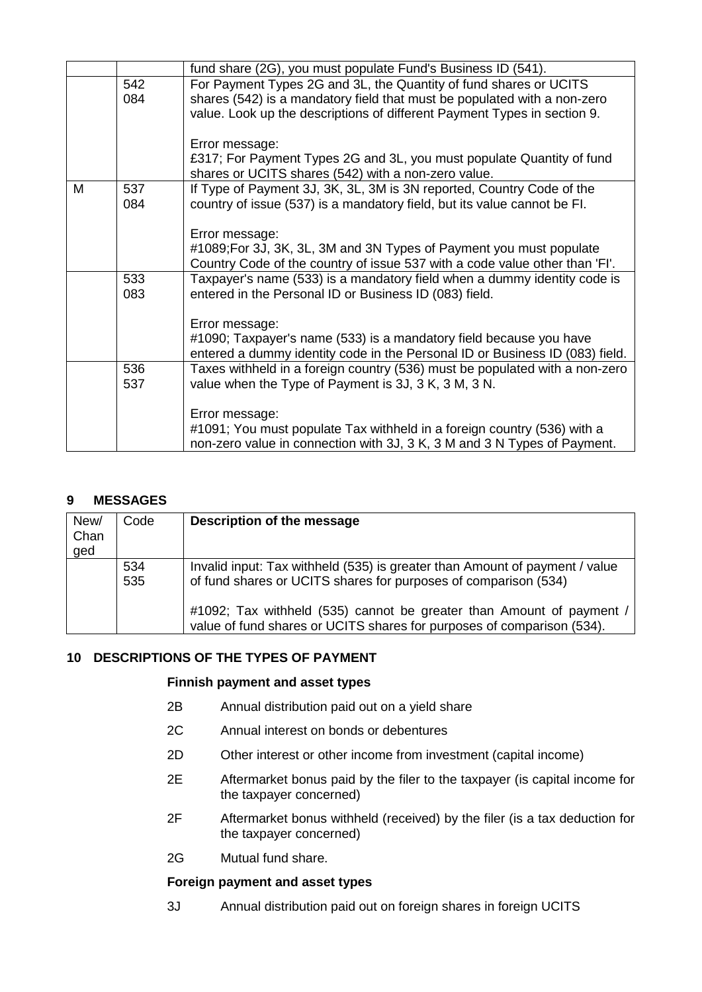|   |     | fund share (2G), you must populate Fund's Business ID (541).                 |
|---|-----|------------------------------------------------------------------------------|
|   | 542 | For Payment Types 2G and 3L, the Quantity of fund shares or UCITS            |
|   | 084 | shares (542) is a mandatory field that must be populated with a non-zero     |
|   |     | value. Look up the descriptions of different Payment Types in section 9.     |
|   |     |                                                                              |
|   |     | Error message:                                                               |
|   |     | £317; For Payment Types 2G and 3L, you must populate Quantity of fund        |
|   |     | shares or UCITS shares (542) with a non-zero value.                          |
| M | 537 | If Type of Payment 3J, 3K, 3L, 3M is 3N reported, Country Code of the        |
|   | 084 | country of issue (537) is a mandatory field, but its value cannot be FI.     |
|   |     |                                                                              |
|   |     | Error message:                                                               |
|   |     | #1089; For 3J, 3K, 3L, 3M and 3N Types of Payment you must populate          |
|   |     | Country Code of the country of issue 537 with a code value other than 'FI'.  |
|   | 533 | Taxpayer's name (533) is a mandatory field when a dummy identity code is     |
|   | 083 | entered in the Personal ID or Business ID (083) field.                       |
|   |     |                                                                              |
|   |     | Error message:                                                               |
|   |     | #1090; Taxpayer's name (533) is a mandatory field because you have           |
|   |     | entered a dummy identity code in the Personal ID or Business ID (083) field. |
|   | 536 | Taxes withheld in a foreign country (536) must be populated with a non-zero  |
|   | 537 | value when the Type of Payment is 3J, 3 K, 3 M, 3 N.                         |
|   |     |                                                                              |
|   |     | Error message:                                                               |
|   |     | #1091; You must populate Tax withheld in a foreign country (536) with a      |
|   |     | non-zero value in connection with 3J, 3 K, 3 M and 3 N Types of Payment.     |

## <span id="page-6-0"></span>**9 MESSAGES**

| New/<br>Chan<br>ged | Code       | Description of the message                                                                                                                     |
|---------------------|------------|------------------------------------------------------------------------------------------------------------------------------------------------|
|                     | 534<br>535 | Invalid input: Tax withheld (535) is greater than Amount of payment / value<br>of fund shares or UCITS shares for purposes of comparison (534) |
|                     |            | #1092; Tax withheld (535) cannot be greater than Amount of payment /<br>value of fund shares or UCITS shares for purposes of comparison (534). |

## <span id="page-6-1"></span>**10 DESCRIPTIONS OF THE TYPES OF PAYMENT**

## **Finnish payment and asset types**

- 2B Annual distribution paid out on a yield share
- 2C Annual interest on bonds or debentures
- 2D Other interest or other income from investment (capital income)
- 2E Aftermarket bonus paid by the filer to the taxpayer (is capital income for the taxpayer concerned)
- 2F Aftermarket bonus withheld (received) by the filer (is a tax deduction for the taxpayer concerned)
- 2G Mutual fund share.

## **Foreign payment and asset types**

3J Annual distribution paid out on foreign shares in foreign UCITS